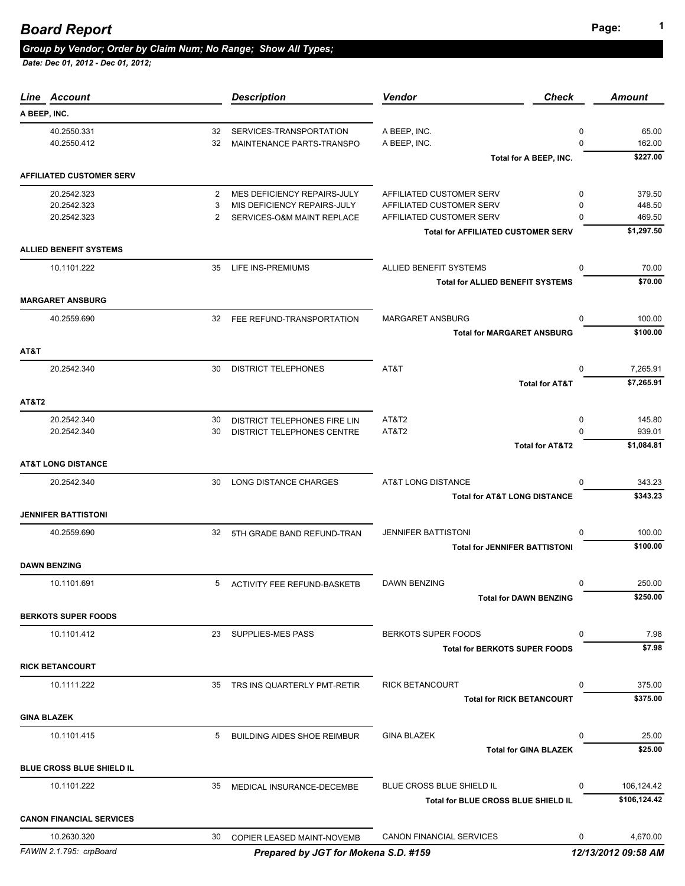| Line Account                          |          | <b>Description</b>                                   | Vendor<br><b>Check</b>                                        |               | <b>Amount</b>       |
|---------------------------------------|----------|------------------------------------------------------|---------------------------------------------------------------|---------------|---------------------|
| A BEEP, INC.                          |          |                                                      |                                                               |               |                     |
| 40.2550.331<br>40.2550.412            | 32<br>32 | SERVICES-TRANSPORTATION<br>MAINTENANCE PARTS-TRANSPO | A BEEP, INC.<br>A BEEP, INC.                                  | 0<br>$\Omega$ | 65.00<br>162.00     |
| <b>AFFILIATED CUSTOMER SERV</b>       |          |                                                      | Total for A BEEP, INC.                                        |               | \$227.00            |
| 20.2542.323                           | 2        | MES DEFICIENCY REPAIRS-JULY                          | AFFILIATED CUSTOMER SERV                                      | 0             | 379.50              |
| 20.2542.323                           | 3        | MIS DEFICIENCY REPAIRS-JULY                          | AFFILIATED CUSTOMER SERV                                      | 0             | 448.50              |
| 20.2542.323                           | 2        | SERVICES-O&M MAINT REPLACE                           | AFFILIATED CUSTOMER SERV                                      | 0             | 469.50              |
|                                       |          |                                                      | <b>Total for AFFILIATED CUSTOMER SERV</b>                     |               | \$1,297.50          |
| <b>ALLIED BENEFIT SYSTEMS</b>         |          |                                                      |                                                               |               |                     |
| 10.1101.222                           | 35       | LIFE INS-PREMIUMS                                    | ALLIED BENEFIT SYSTEMS                                        | 0             | 70.00               |
|                                       |          |                                                      | <b>Total for ALLIED BENEFIT SYSTEMS</b>                       |               | \$70.00             |
| <b>MARGARET ANSBURG</b>               |          |                                                      |                                                               |               |                     |
| 40.2559.690                           |          | 32 FEE REFUND-TRANSPORTATION                         | MARGARET ANSBURG                                              | $\Omega$      | 100.00              |
|                                       |          |                                                      | <b>Total for MARGARET ANSBURG</b>                             |               | \$100.00            |
| AT&T<br>20.2542.340                   | 30       | <b>DISTRICT TELEPHONES</b>                           | AT&T                                                          | $\Omega$      | 7,265.91            |
|                                       |          |                                                      | <b>Total for AT&amp;T</b>                                     |               | \$7,265.91          |
| <b>AT&amp;T2</b>                      |          |                                                      |                                                               |               |                     |
| 20.2542.340                           | 30       | DISTRICT TELEPHONES FIRE LIN                         | AT&T2                                                         | 0             | 145.80              |
| 20.2542.340                           | 30       | DISTRICT TELEPHONES CENTRE                           | AT&T2                                                         | 0             | 939.01              |
|                                       |          |                                                      | <b>Total for AT&amp;T2</b>                                    |               | \$1,084.81          |
| <b>AT&amp;T LONG DISTANCE</b>         |          |                                                      |                                                               |               |                     |
| 20.2542.340                           | 30       | LONG DISTANCE CHARGES                                | AT&T LONG DISTANCE<br><b>Total for AT&amp;T LONG DISTANCE</b> | 0             | 343.23<br>\$343.23  |
| <b>JENNIFER BATTISTONI</b>            |          |                                                      |                                                               |               |                     |
| 40.2559.690                           | 32       | 5TH GRADE BAND REFUND-TRAN                           | <b>JENNIFER BATTISTONI</b>                                    | $\Omega$      | 100.00              |
|                                       |          |                                                      | <b>Total for JENNIFER BATTISTONI</b>                          |               | \$100.00            |
| <b>DAWN BENZING</b>                   |          |                                                      |                                                               |               |                     |
| 10.1101.691                           | 5        | ACTIVITY FEE REFUND-BASKETB                          | <b>DAWN BENZING</b>                                           | 0             | 250.00              |
|                                       |          |                                                      | <b>Total for DAWN BENZING</b>                                 |               | \$250.00            |
| <b>BERKOTS SUPER FOODS</b>            |          |                                                      |                                                               |               |                     |
| 10.1101.412                           | 23       | <b>SUPPLIES-MES PASS</b>                             | <b>BERKOTS SUPER FOODS</b>                                    | 0             | 7.98                |
|                                       |          |                                                      | <b>Total for BERKOTS SUPER FOODS</b>                          |               | \$7.98              |
| <b>RICK BETANCOURT</b><br>10.1111.222 | 35       |                                                      | <b>RICK BETANCOURT</b>                                        | 0             | 375.00              |
|                                       |          | TRS INS QUARTERLY PMT-RETIR                          | <b>Total for RICK BETANCOURT</b>                              |               | \$375.00            |
| <b>GINA BLAZEK</b>                    |          |                                                      |                                                               |               |                     |
| 10.1101.415                           | 5        | <b>BUILDING AIDES SHOE REIMBUR</b>                   | <b>GINA BLAZEK</b>                                            | 0             | 25.00               |
|                                       |          |                                                      | <b>Total for GINA BLAZEK</b>                                  |               | \$25.00             |
| <b>BLUE CROSS BLUE SHIELD IL</b>      |          |                                                      |                                                               |               |                     |
| 10.1101.222                           | 35       | MEDICAL INSURANCE-DECEMBE                            | BLUE CROSS BLUE SHIELD IL                                     | $\Omega$      | 106,124.42          |
|                                       |          |                                                      | Total for BLUE CROSS BLUE SHIELD IL                           |               | \$106,124.42        |
| <b>CANON FINANCIAL SERVICES</b>       |          |                                                      |                                                               |               |                     |
| 10.2630.320                           | 30       | COPIER LEASED MAINT-NOVEMB                           | <b>CANON FINANCIAL SERVICES</b>                               | 0             | 4,670.00            |
| FAWIN 2.1.795: crpBoard               |          | Prepared by JGT for Mokena S.D. #159                 |                                                               |               | 12/13/2012 09:58 AM |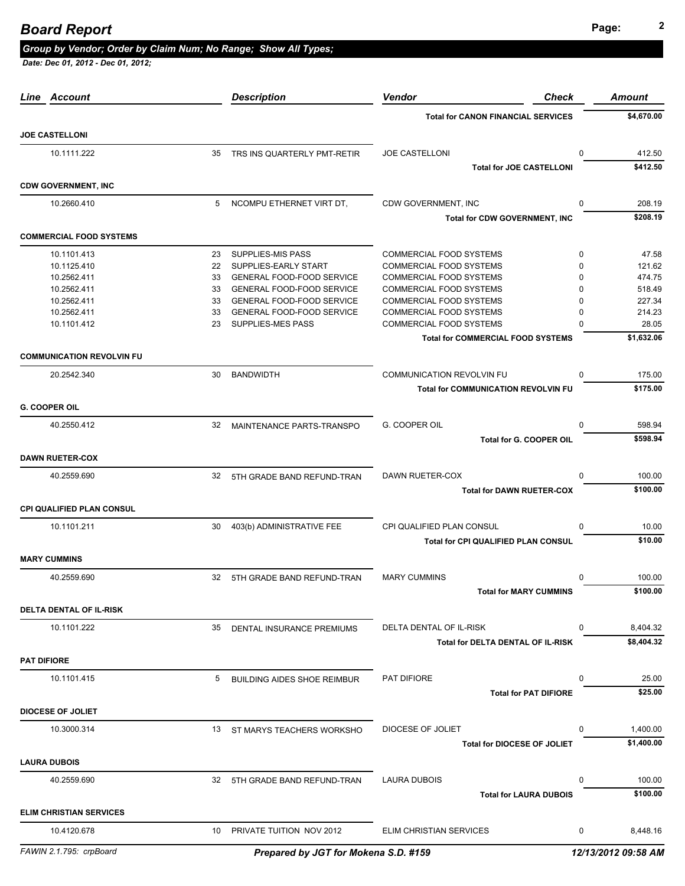# **Page: <sup>2</sup>** *Board Report*

#### *Group by Vendor; Order by Claim Num; No Range; Show All Types;*

| Line Account                     |    | <b>Description</b>                   | Vendor<br>Check                            |             | <b>Amount</b>       |
|----------------------------------|----|--------------------------------------|--------------------------------------------|-------------|---------------------|
|                                  |    |                                      | <b>Total for CANON FINANCIAL SERVICES</b>  |             | \$4.670.00          |
| <b>JOE CASTELLONI</b>            |    |                                      |                                            |             |                     |
| 10.1111.222                      | 35 | TRS INS QUARTERLY PMT-RETIR          | <b>JOE CASTELLONI</b>                      | $\mathbf 0$ | 412.50              |
|                                  |    |                                      | <b>Total for JOE CASTELLONI</b>            |             | \$412.50            |
| <b>CDW GOVERNMENT, INC</b>       |    |                                      |                                            |             |                     |
| 10.2660.410                      | 5  | NCOMPU ETHERNET VIRT DT,             | CDW GOVERNMENT, INC                        | 0           | 208.19              |
|                                  |    |                                      | <b>Total for CDW GOVERNMENT, INC</b>       |             | \$208.19            |
| <b>COMMERCIAL FOOD SYSTEMS</b>   |    |                                      |                                            |             |                     |
| 10.1101.413                      | 23 | <b>SUPPLIES-MIS PASS</b>             | <b>COMMERCIAL FOOD SYSTEMS</b>             | 0           | 47.58               |
| 10.1125.410                      | 22 | SUPPLIES-EARLY START                 | COMMERCIAL FOOD SYSTEMS                    | $\Omega$    | 121.62              |
| 10.2562.411                      | 33 | GENERAL FOOD-FOOD SERVICE            | COMMERCIAL FOOD SYSTEMS                    | 0           | 474.75              |
| 10.2562.411                      | 33 | <b>GENERAL FOOD-FOOD SERVICE</b>     | COMMERCIAL FOOD SYSTEMS                    | $\Omega$    | 518.49              |
| 10.2562.411                      | 33 | <b>GENERAL FOOD-FOOD SERVICE</b>     | COMMERCIAL FOOD SYSTEMS                    | 0           | 227.34              |
| 10.2562.411                      | 33 | <b>GENERAL FOOD-FOOD SERVICE</b>     | <b>COMMERCIAL FOOD SYSTEMS</b>             | 0           | 214.23              |
| 10.1101.412                      | 23 | SUPPLIES-MES PASS                    | <b>COMMERCIAL FOOD SYSTEMS</b>             | $\Omega$    | 28.05               |
|                                  |    |                                      | <b>Total for COMMERCIAL FOOD SYSTEMS</b>   |             | \$1.632.06          |
| <b>COMMUNICATION REVOLVIN FU</b> |    |                                      |                                            |             |                     |
| 20.2542.340                      | 30 | <b>BANDWIDTH</b>                     | <b>COMMUNICATION REVOLVIN FU</b>           | $\Omega$    | 175.00              |
|                                  |    |                                      | <b>Total for COMMUNICATION REVOLVIN FU</b> |             | \$175.00            |
| <b>G. COOPER OIL</b>             |    |                                      |                                            |             |                     |
| 40.2550.412                      | 32 | MAINTENANCE PARTS-TRANSPO            | G. COOPER OIL                              | $\Omega$    | 598.94              |
|                                  |    |                                      | Total for G. COOPER OIL                    |             | \$598.94            |
| <b>DAWN RUETER-COX</b>           |    |                                      |                                            |             |                     |
| 40.2559.690                      | 32 | 5TH GRADE BAND REFUND-TRAN           | DAWN RUETER-COX                            | $\Omega$    | 100.00              |
|                                  |    |                                      | <b>Total for DAWN RUETER-COX</b>           |             | \$100.00            |
| <b>CPI QUALIFIED PLAN CONSUL</b> |    |                                      |                                            |             |                     |
| 10.1101.211                      | 30 | 403(b) ADMINISTRATIVE FEE            | CPI QUALIFIED PLAN CONSUL                  | 0           | 10.00               |
|                                  |    |                                      | Total for CPI QUALIFIED PLAN CONSUL        |             | \$10.00             |
| <b>MARY CUMMINS</b>              |    |                                      |                                            |             |                     |
| 40.2559.690                      | 32 | 5TH GRADE BAND REFUND-TRAN           | <b>MARY CUMMINS</b>                        | $\mathbf 0$ | 100.00              |
|                                  |    |                                      | <b>Total for MARY CUMMINS</b>              |             | \$100.00            |
| <b>DELTA DENTAL OF IL-RISK</b>   |    |                                      |                                            |             |                     |
| 10.1101.222                      | 35 | DENTAL INSURANCE PREMIUMS            | DELTA DENTAL OF IL-RISK                    | 0           | 8,404.32            |
|                                  |    |                                      | <b>Total for DELTA DENTAL OF IL-RISK</b>   |             | \$8,404.32          |
| <b>PAT DIFIORE</b>               |    |                                      |                                            |             |                     |
| 10.1101.415                      | 5  | <b>BUILDING AIDES SHOE REIMBUR</b>   | PAT DIFIORE                                | 0           | 25.00               |
|                                  |    |                                      | <b>Total for PAT DIFIORE</b>               |             | \$25.00             |
| <b>DIOCESE OF JOLIET</b>         |    |                                      |                                            |             |                     |
| 10.3000.314                      | 13 | ST MARYS TEACHERS WORKSHO            | <b>DIOCESE OF JOLIET</b>                   | 0           | 1,400.00            |
|                                  |    |                                      | <b>Total for DIOCESE OF JOLIET</b>         |             | \$1,400.00          |
| <b>LAURA DUBOIS</b>              |    |                                      |                                            |             |                     |
| 40.2559.690                      | 32 | 5TH GRADE BAND REFUND-TRAN           | LAURA DUBOIS                               | 0           | 100.00              |
|                                  |    |                                      | <b>Total for LAURA DUBOIS</b>              |             | \$100.00            |
| <b>ELIM CHRISTIAN SERVICES</b>   |    |                                      |                                            |             |                     |
| 10.4120.678                      | 10 | PRIVATE TUITION NOV 2012             | ELIM CHRISTIAN SERVICES                    | 0           | 8,448.16            |
| FAWIN 2.1.795: crpBoard          |    | Prepared by JGT for Mokena S.D. #159 |                                            |             | 12/13/2012 09:58 AM |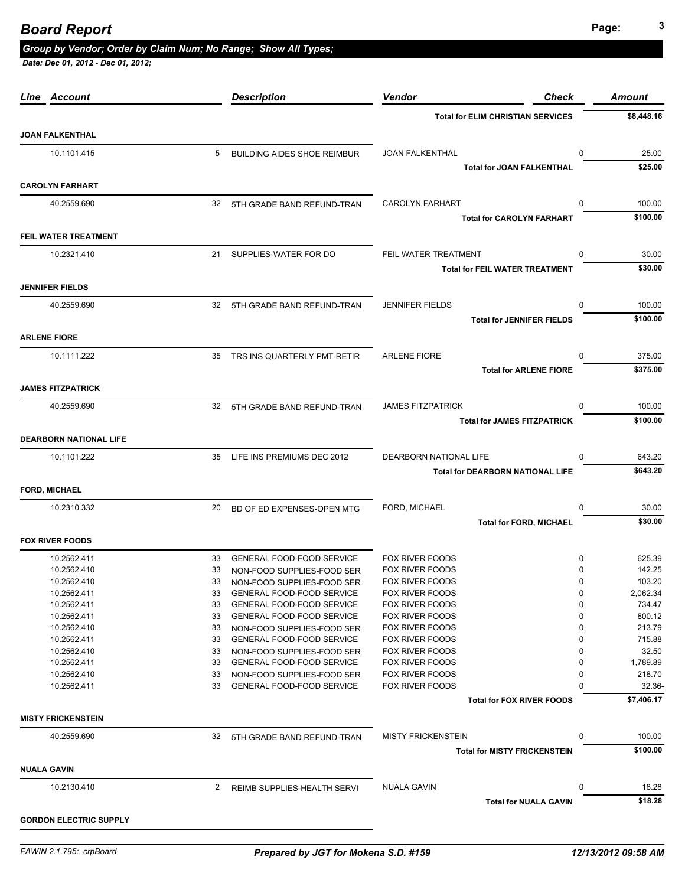# **Page: <sup>3</sup>** *Board Report*

#### *Group by Vendor; Order by Claim Num; No Range; Show All Types;*

| Line Account                  |    | <b>Description</b>                 | Vendor<br><b>Check</b>                   | <b>Amount</b>      |
|-------------------------------|----|------------------------------------|------------------------------------------|--------------------|
|                               |    |                                    | <b>Total for ELIM CHRISTIAN SERVICES</b> | \$8,448.16         |
| <b>JOAN FALKENTHAL</b>        |    |                                    |                                          |                    |
| 10.1101.415                   | 5  | <b>BUILDING AIDES SHOE REIMBUR</b> | JOAN FALKENTHAL                          | 0<br>25.00         |
|                               |    |                                    | <b>Total for JOAN FALKENTHAL</b>         | \$25.00            |
| <b>CAROLYN FARHART</b>        |    |                                    |                                          |                    |
| 40.2559.690                   |    | 32 5TH GRADE BAND REFUND-TRAN      | <b>CAROLYN FARHART</b>                   | 0<br>100.00        |
|                               |    |                                    | <b>Total for CAROLYN FARHART</b>         | \$100.00           |
| FEIL WATER TREATMENT          |    |                                    |                                          |                    |
| 10.2321.410                   | 21 | SUPPLIES-WATER FOR DO              | FEIL WATER TREATMENT                     | 0<br>30.00         |
|                               |    |                                    | <b>Total for FEIL WATER TREATMENT</b>    | \$30.00            |
| <b>JENNIFER FIELDS</b>        |    |                                    |                                          |                    |
| 40.2559.690                   | 32 | 5TH GRADE BAND REFUND-TRAN         | <b>JENNIFER FIELDS</b>                   | 100.00<br>0        |
|                               |    |                                    | <b>Total for JENNIFER FIELDS</b>         | \$100.00           |
| <b>ARLENE FIORE</b>           |    |                                    |                                          |                    |
| 10.1111.222                   | 35 | TRS INS QUARTERLY PMT-RETIR        | <b>ARLENE FIORE</b>                      | $\Omega$<br>375.00 |
|                               |    |                                    | <b>Total for ARLENE FIORE</b>            | \$375.00           |
| <b>JAMES FITZPATRICK</b>      |    |                                    |                                          |                    |
| 40.2559.690                   | 32 | 5TH GRADE BAND REFUND-TRAN         | <b>JAMES FITZPATRICK</b>                 | 100.00<br>0        |
|                               |    |                                    | <b>Total for JAMES FITZPATRICK</b>       | \$100.00           |
| <b>DEARBORN NATIONAL LIFE</b> |    |                                    |                                          |                    |
| 10.1101.222                   | 35 | LIFE INS PREMIUMS DEC 2012         | DEARBORN NATIONAL LIFE                   | 643.20<br>0        |
|                               |    |                                    | <b>Total for DEARBORN NATIONAL LIFE</b>  | \$643.20           |
| <b>FORD, MICHAEL</b>          |    |                                    |                                          |                    |
| 10.2310.332                   | 20 | BD OF ED EXPENSES-OPEN MTG         | FORD, MICHAEL                            | 0<br>30.00         |
|                               |    |                                    | <b>Total for FORD, MICHAEL</b>           | \$30.00            |
| <b>FOX RIVER FOODS</b>        |    |                                    |                                          |                    |
| 10.2562.411                   | 33 | <b>GENERAL FOOD-FOOD SERVICE</b>   | <b>FOX RIVER FOODS</b>                   | 625.39<br>0        |
| 10.2562.410                   | 33 | NON-FOOD SUPPLIES-FOOD SER         | <b>FOX RIVER FOODS</b>                   | 142.25<br>0        |
| 10.2562.410                   | 33 | NON-FOOD SUPPLIES-FOOD SER         | <b>FOX RIVER FOODS</b>                   | 0<br>103.20        |
| 10.2562.411                   | 33 | <b>GENERAL FOOD-FOOD SERVICE</b>   | FOX RIVER FOODS                          | 2,062.34<br>0      |
| 10.2562.411                   | 33 | GENERAL FOOD-FOOD SERVICE          | <b>FOX RIVER FOODS</b>                   | 0<br>734.47        |
| 10.2562.411                   | 33 | <b>GENERAL FOOD-FOOD SERVICE</b>   | <b>FOX RIVER FOODS</b>                   | 0<br>800.12        |
| 10.2562.410                   | 33 | NON-FOOD SUPPLIES-FOOD SER         | <b>FOX RIVER FOODS</b>                   | 0<br>213.79        |
| 10.2562.411                   | 33 | <b>GENERAL FOOD-FOOD SERVICE</b>   | <b>FOX RIVER FOODS</b>                   | 715.88<br>0        |
| 10.2562.410                   | 33 | NON-FOOD SUPPLIES-FOOD SER         | <b>FOX RIVER FOODS</b>                   | 32.50<br>0         |
| 10.2562.411                   | 33 | <b>GENERAL FOOD-FOOD SERVICE</b>   | <b>FOX RIVER FOODS</b>                   | 1,789.89<br>0      |
| 10.2562.410                   | 33 | NON-FOOD SUPPLIES-FOOD SER         | FOX RIVER FOODS                          | 218.70<br>0        |
| 10.2562.411                   | 33 | <b>GENERAL FOOD-FOOD SERVICE</b>   | <b>FOX RIVER FOODS</b>                   | 32.36-<br>0        |
|                               |    |                                    | <b>Total for FOX RIVER FOODS</b>         | \$7,406.17         |
| <b>MISTY FRICKENSTEIN</b>     |    |                                    |                                          |                    |
| 40.2559.690                   | 32 | 5TH GRADE BAND REFUND-TRAN         | <b>MISTY FRICKENSTEIN</b>                | 0<br>100.00        |
|                               |    |                                    | <b>Total for MISTY FRICKENSTEIN</b>      | \$100.00           |
| <b>NUALA GAVIN</b>            |    |                                    |                                          |                    |
| 10.2130.410                   | 2  | REIMB SUPPLIES-HEALTH SERVI        | <b>NUALA GAVIN</b>                       | 0<br>18.28         |
|                               |    |                                    | <b>Total for NUALA GAVIN</b>             | \$18.28            |
| <b>GORDON ELECTRIC SUPPLY</b> |    |                                    |                                          |                    |
|                               |    |                                    |                                          |                    |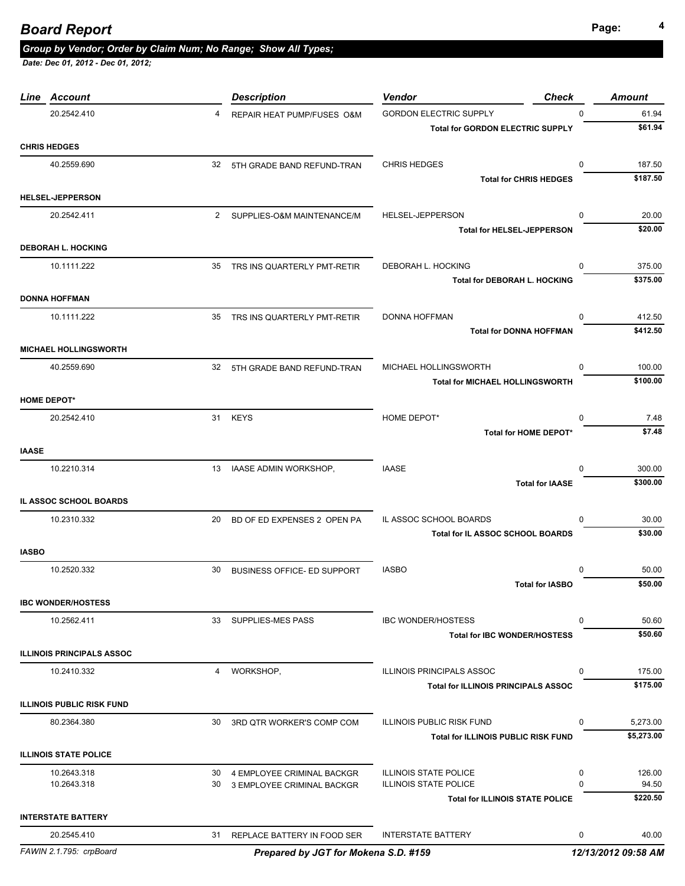*Date: Dec 01, 2012 - Dec 01, 2012;* 

|              | Line Account                     |              | <b>Description</b>                 | <b>Check</b><br><b>Vendor</b>              | <b>Amount</b>          |
|--------------|----------------------------------|--------------|------------------------------------|--------------------------------------------|------------------------|
|              | 20.2542.410                      | 4            | REPAIR HEAT PUMP/FUSES O&M         | <b>GORDON ELECTRIC SUPPLY</b>              | $\Omega$<br>61.94      |
|              |                                  |              |                                    | <b>Total for GORDON ELECTRIC SUPPLY</b>    | \$61.94                |
|              | <b>CHRIS HEDGES</b>              |              |                                    |                                            |                        |
|              | 40.2559.690                      | 32           | 5TH GRADE BAND REFUND-TRAN         | <b>CHRIS HEDGES</b>                        | 187.50<br>$\mathbf 0$  |
|              |                                  |              |                                    | <b>Total for CHRIS HEDGES</b>              | \$187.50               |
|              | <b>HELSEL-JEPPERSON</b>          |              |                                    |                                            |                        |
|              | 20.2542.411                      | $\mathbf{2}$ | SUPPLIES-O&M MAINTENANCE/M         | HELSEL-JEPPERSON                           | 20.00<br>$\Omega$      |
|              |                                  |              |                                    | <b>Total for HELSEL-JEPPERSON</b>          | \$20.00                |
|              | <b>DEBORAH L. HOCKING</b>        |              |                                    |                                            |                        |
|              | 10.1111.222                      |              | 35 TRS INS QUARTERLY PMT-RETIR     | DEBORAH L. HOCKING                         | 375.00<br>$\Omega$     |
|              |                                  |              |                                    | <b>Total for DEBORAH L. HOCKING</b>        | \$375.00               |
|              | <b>DONNA HOFFMAN</b>             |              |                                    |                                            |                        |
|              | 10.1111.222                      |              | 35 TRS INS QUARTERLY PMT-RETIR     | DONNA HOFFMAN                              | 412.50<br>0            |
|              |                                  |              |                                    | <b>Total for DONNA HOFFMAN</b>             | \$412.50               |
|              | <b>MICHAEL HOLLINGSWORTH</b>     |              |                                    |                                            |                        |
|              | 40.2559.690                      |              |                                    | MICHAEL HOLLINGSWORTH                      | $\mathbf 0$<br>100.00  |
|              |                                  |              | 32 5TH GRADE BAND REFUND-TRAN      | <b>Total for MICHAEL HOLLINGSWORTH</b>     | \$100.00               |
|              | <b>HOME DEPOT*</b>               |              |                                    |                                            |                        |
|              |                                  |              |                                    |                                            |                        |
|              | 20.2542.410                      |              | 31 KEYS                            | HOME DEPOT*<br>Total for HOME DEPOT*       | 7.48<br>0<br>\$7.48    |
|              |                                  |              |                                    |                                            |                        |
| <b>IAASE</b> |                                  |              |                                    |                                            |                        |
|              | 10.2210.314                      | 13           | IAASE ADMIN WORKSHOP,              | <b>IAASE</b>                               | 300.00<br>$\Omega$     |
|              |                                  |              |                                    | <b>Total for IAASE</b>                     | \$300.00               |
|              | IL ASSOC SCHOOL BOARDS           |              |                                    |                                            |                        |
|              | 10.2310.332                      | 20           | BD OF ED EXPENSES 2 OPEN PA        | IL ASSOC SCHOOL BOARDS                     | 30.00<br>$\Omega$      |
|              |                                  |              |                                    | Total for IL ASSOC SCHOOL BOARDS           | \$30.00                |
| <b>IASBO</b> |                                  |              |                                    |                                            |                        |
|              | 10.2520.332                      | 30           | <b>BUSINESS OFFICE- ED SUPPORT</b> | <b>IASBO</b>                               | 50.00<br>0             |
|              |                                  |              |                                    | <b>Total for IASBO</b>                     | \$50.00                |
|              | <b>IBC WONDER/HOSTESS</b>        |              |                                    |                                            |                        |
|              | 10.2562.411                      |              | 33 SUPPLIES-MES PASS               | <b>IBC WONDER/HOSTESS</b>                  | 50.60<br>$\Omega$      |
|              |                                  |              |                                    | <b>Total for IBC WONDER/HOSTESS</b>        | \$50.60                |
|              | <b>ILLINOIS PRINCIPALS ASSOC</b> |              |                                    |                                            |                        |
|              | 10.2410.332                      | 4            | WORKSHOP,                          | <b>ILLINOIS PRINCIPALS ASSOC</b>           | 175.00<br>$\mathbf{0}$ |
|              |                                  |              |                                    | <b>Total for ILLINOIS PRINCIPALS ASSOC</b> | \$175.00               |
|              | <b>ILLINOIS PUBLIC RISK FUND</b> |              |                                    |                                            |                        |
|              | 80.2364.380                      | 30           | 3RD QTR WORKER'S COMP COM          | <b>ILLINOIS PUBLIC RISK FUND</b>           | 5,273.00<br>$\Omega$   |
|              |                                  |              |                                    | <b>Total for ILLINOIS PUBLIC RISK FUND</b> | \$5,273.00             |
|              | <b>ILLINOIS STATE POLICE</b>     |              |                                    |                                            |                        |
|              | 10.2643.318                      | 30           | 4 EMPLOYEE CRIMINAL BACKGR         | <b>ILLINOIS STATE POLICE</b>               | 0<br>126.00            |
|              | 10.2643.318                      | 30           | 3 EMPLOYEE CRIMINAL BACKGR         | <b>ILLINOIS STATE POLICE</b>               | $\Omega$<br>94.50      |
|              |                                  |              |                                    | <b>Total for ILLINOIS STATE POLICE</b>     | \$220.50               |
|              | <b>INTERSTATE BATTERY</b>        |              |                                    |                                            |                        |
|              | 20.2545.410                      |              | 31 REPLACE BATTERY IN FOOD SER     | <b>INTERSTATE BATTERY</b>                  | 0<br>40.00             |
|              |                                  |              |                                    |                                            |                        |

*FAWIN 2.1.795: crpBoard Prepared by JGT for Mokena S.D. #159 12/13/2012 09:58 AM*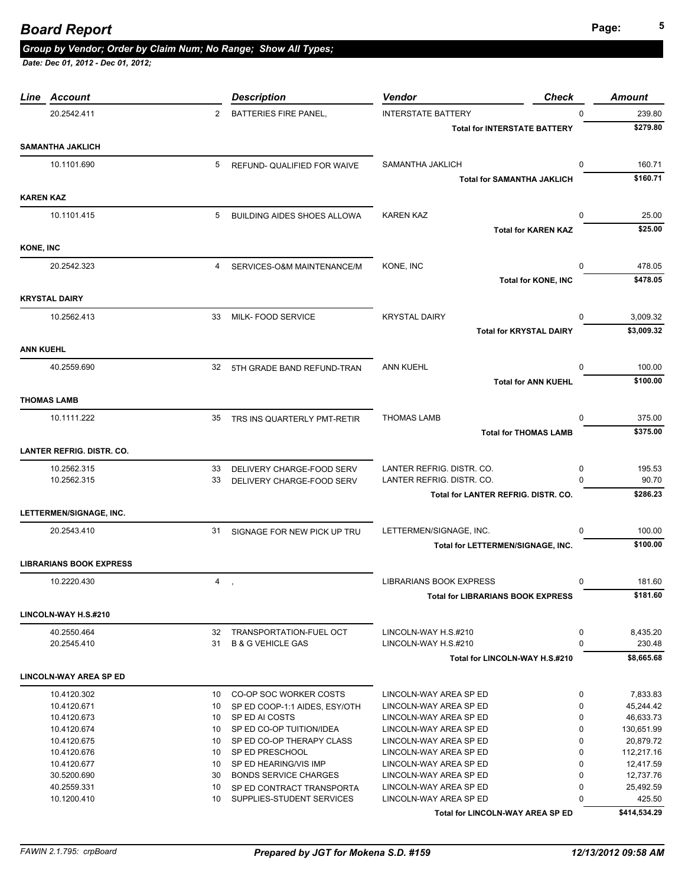|                  | Line Account                     |                | <b>Description</b>                                        | <b>Vendor</b><br><b>Check</b>                    |              | <b>Amount</b>          |
|------------------|----------------------------------|----------------|-----------------------------------------------------------|--------------------------------------------------|--------------|------------------------|
|                  | 20.2542.411                      | $\overline{2}$ | BATTERIES FIRE PANEL,                                     | <b>INTERSTATE BATTERY</b>                        | $\Omega$     | 239.80                 |
|                  |                                  |                |                                                           | <b>Total for INTERSTATE BATTERY</b>              |              | \$279.80               |
|                  | <b>SAMANTHA JAKLICH</b>          |                |                                                           |                                                  |              |                        |
|                  | 10.1101.690                      | 5              | REFUND- QUALIFIED FOR WAIVE                               | SAMANTHA JAKLICH                                 | $\Omega$     | 160.71                 |
|                  |                                  |                |                                                           | <b>Total for SAMANTHA JAKLICH</b>                |              | \$160.71               |
|                  |                                  |                |                                                           |                                                  |              |                        |
| <b>KAREN KAZ</b> |                                  |                |                                                           |                                                  |              |                        |
|                  | 10.1101.415                      | 5              | <b>BUILDING AIDES SHOES ALLOWA</b>                        | <b>KAREN KAZ</b>                                 | 0            | 25.00                  |
|                  |                                  |                |                                                           | <b>Total for KAREN KAZ</b>                       |              | \$25.00                |
| <b>KONE, INC</b> |                                  |                |                                                           |                                                  |              |                        |
|                  |                                  |                |                                                           |                                                  |              |                        |
|                  | 20.2542.323                      | 4              | SERVICES-O&M MAINTENANCE/M                                | KONE, INC                                        | $\Omega$     | 478.05                 |
|                  |                                  |                |                                                           | <b>Total for KONE, INC</b>                       |              | \$478.05               |
|                  | <b>KRYSTAL DAIRY</b>             |                |                                                           |                                                  |              |                        |
|                  | 10.2562.413                      | 33             | MILK- FOOD SERVICE                                        | <b>KRYSTAL DAIRY</b>                             | 0            | 3,009.32               |
|                  |                                  |                |                                                           | <b>Total for KRYSTAL DAIRY</b>                   |              | \$3,009.32             |
|                  |                                  |                |                                                           |                                                  |              |                        |
| <b>ANN KUEHL</b> |                                  |                |                                                           |                                                  |              |                        |
|                  | 40.2559.690                      |                | 32 5TH GRADE BAND REFUND-TRAN                             | <b>ANN KUEHL</b>                                 | $\Omega$     | 100.00                 |
|                  |                                  |                |                                                           | <b>Total for ANN KUEHL</b>                       |              | \$100.00               |
|                  | <b>THOMAS LAMB</b>               |                |                                                           |                                                  |              |                        |
|                  | 10.1111.222                      | 35             |                                                           | <b>THOMAS LAMB</b>                               | 0            | 375.00                 |
|                  |                                  |                | TRS INS QUARTERLY PMT-RETIR                               |                                                  |              | \$375.00               |
|                  |                                  |                |                                                           | <b>Total for THOMAS LAMB</b>                     |              |                        |
|                  | <b>LANTER REFRIG. DISTR. CO.</b> |                |                                                           |                                                  |              |                        |
|                  | 10.2562.315                      | 33             | DELIVERY CHARGE-FOOD SERV                                 | LANTER REFRIG. DISTR. CO.                        | 0            | 195.53                 |
|                  | 10.2562.315                      | 33             | DELIVERY CHARGE-FOOD SERV                                 | LANTER REFRIG. DISTR. CO.                        | <sup>n</sup> | 90.70                  |
|                  |                                  |                |                                                           | Total for LANTER REFRIG. DISTR. CO.              |              | \$286.23               |
|                  | LETTERMEN/SIGNAGE, INC.          |                |                                                           |                                                  |              |                        |
|                  |                                  |                |                                                           |                                                  |              |                        |
|                  | 20.2543.410                      |                | 31 SIGNAGE FOR NEW PICK UP TRU                            | LETTERMEN/SIGNAGE, INC.                          | 0            | 100.00                 |
|                  |                                  |                |                                                           | Total for LETTERMEN/SIGNAGE, INC.                |              | \$100.00               |
|                  | <b>LIBRARIANS BOOK EXPRESS</b>   |                |                                                           |                                                  |              |                        |
|                  | 10.2220.430                      | 4,             |                                                           | LIBRARIANS BOOK EXPRESS                          | 0            | 181.60                 |
|                  |                                  |                |                                                           | <b>Total for LIBRARIANS BOOK EXPRESS</b>         |              | \$181.60               |
|                  |                                  |                |                                                           |                                                  |              |                        |
|                  | LINCOLN-WAY H.S.#210             |                |                                                           |                                                  |              |                        |
|                  | 40.2550.464                      | 32             | TRANSPORTATION-FUEL OCT                                   | LINCOLN-WAY H.S.#210                             | 0            | 8,435.20               |
|                  | 20.2545.410                      | 31             | <b>B &amp; G VEHICLE GAS</b>                              | LINCOLN-WAY H.S.#210                             | $\Omega$     | 230.48                 |
|                  |                                  |                |                                                           | Total for LINCOLN-WAY H.S.#210                   |              | \$8,665.68             |
|                  | <b>LINCOLN-WAY AREA SP ED</b>    |                |                                                           |                                                  |              |                        |
|                  | 10.4120.302                      | 10             | CO-OP SOC WORKER COSTS                                    | LINCOLN-WAY AREA SP ED                           | 0            | 7.833.83               |
|                  | 10.4120.671                      | 10             | SP ED COOP-1:1 AIDES, ESY/OTH                             | LINCOLN-WAY AREA SP ED                           | $\mathbf 0$  | 45,244.42              |
|                  | 10.4120.673                      | 10             | SP ED AI COSTS                                            | LINCOLN-WAY AREA SP ED                           | 0            | 46,633.73              |
|                  | 10.4120.674                      | 10             | SP ED CO-OP TUITION/IDEA                                  | LINCOLN-WAY AREA SP ED                           | 0            | 130,651.99             |
|                  | 10.4120.675                      | 10             | SP ED CO-OP THERAPY CLASS                                 | LINCOLN-WAY AREA SP ED                           | $\Omega$     | 20,879.72              |
|                  | 10.4120.676                      | 10             | SP ED PRESCHOOL                                           | LINCOLN-WAY AREA SP ED                           | 0            | 112,217.16             |
|                  | 10.4120.677                      | 10             | SP ED HEARING/VIS IMP                                     | LINCOLN-WAY AREA SP ED                           | $\mathbf 0$  | 12,417.59              |
|                  |                                  |                |                                                           |                                                  | 0            |                        |
|                  | 30.5200.690<br>40.2559.331       | 30<br>10       | <b>BONDS SERVICE CHARGES</b><br>SP ED CONTRACT TRANSPORTA | LINCOLN-WAY AREA SP ED<br>LINCOLN-WAY AREA SP ED | 0            | 12,737.76<br>25,492.59 |
|                  | 10.1200.410                      | 10             | SUPPLIES-STUDENT SERVICES                                 | LINCOLN-WAY AREA SP ED                           | 0            | 425.50                 |
|                  |                                  |                |                                                           | Total for LINCOLN-WAY AREA SP ED                 |              | \$414,534.29           |
|                  |                                  |                |                                                           |                                                  |              |                        |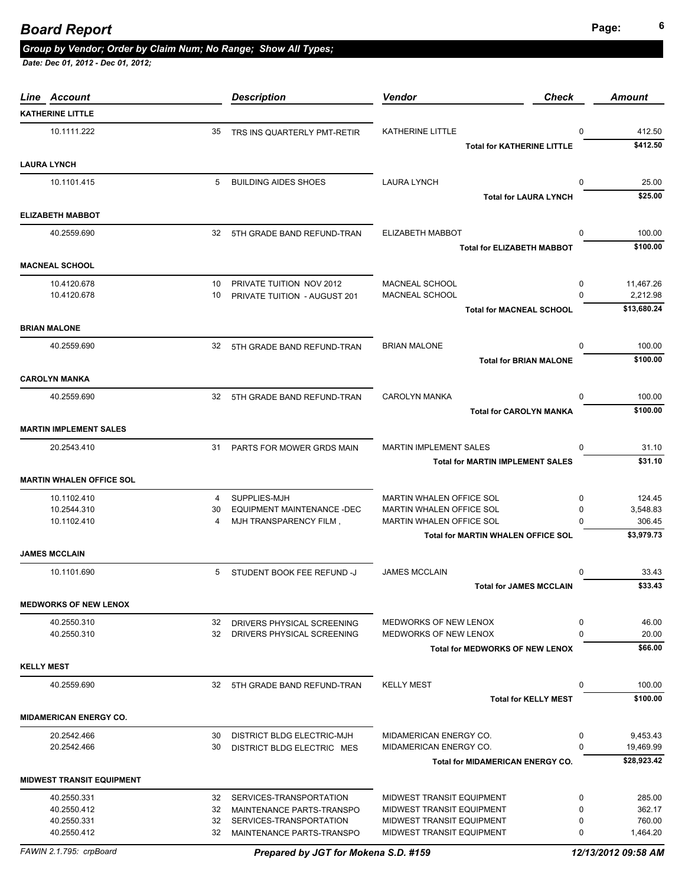# **Page: <sup>6</sup>** *Board Report*

#### *Group by Vendor; Order by Claim Num; No Range; Show All Types;*

| Line Account                     |          | <b>Description</b>                                       | <b>Vendor</b><br><b>Check</b>                          |               | Amount               |
|----------------------------------|----------|----------------------------------------------------------|--------------------------------------------------------|---------------|----------------------|
| <b>KATHERINE LITTLE</b>          |          |                                                          |                                                        |               |                      |
| 10.1111.222                      | 35       | TRS INS QUARTERLY PMT-RETIR                              | <b>KATHERINE LITTLE</b>                                | 0             | 412.50               |
|                                  |          |                                                          | <b>Total for KATHERINE LITTLE</b>                      |               | \$412.50             |
|                                  |          |                                                          |                                                        |               |                      |
| <b>LAURA LYNCH</b>               |          |                                                          |                                                        |               |                      |
| 10.1101.415                      | 5        | <b>BUILDING AIDES SHOES</b>                              | <b>LAURA LYNCH</b>                                     | $\Omega$      | 25.00                |
|                                  |          |                                                          | <b>Total for LAURA LYNCH</b>                           |               | \$25.00              |
| <b>ELIZABETH MABBOT</b>          |          |                                                          |                                                        |               |                      |
| 40.2559.690                      | 32       | 5TH GRADE BAND REFUND-TRAN                               | ELIZABETH MABBOT                                       | $\mathbf 0$   | 100.00               |
|                                  |          |                                                          | <b>Total for ELIZABETH MABBOT</b>                      |               | \$100.00             |
|                                  |          |                                                          |                                                        |               |                      |
| <b>MACNEAL SCHOOL</b>            |          |                                                          |                                                        |               |                      |
| 10.4120.678                      | 10       | PRIVATE TUITION NOV 2012                                 | MACNEAL SCHOOL                                         | 0             | 11,467.26            |
| 10.4120.678                      | 10       | PRIVATE TUITION - AUGUST 201                             | MACNEAL SCHOOL                                         | 0             | 2,212.98             |
|                                  |          |                                                          | <b>Total for MACNEAL SCHOOL</b>                        |               | \$13,680.24          |
| <b>BRIAN MALONE</b>              |          |                                                          |                                                        |               |                      |
| 40.2559.690                      | 32       | 5TH GRADE BAND REFUND-TRAN                               | <b>BRIAN MALONE</b>                                    | 0             | 100.00               |
|                                  |          |                                                          | <b>Total for BRIAN MALONE</b>                          |               | \$100.00             |
|                                  |          |                                                          |                                                        |               |                      |
| <b>CAROLYN MANKA</b>             |          |                                                          |                                                        |               |                      |
| 40.2559.690                      | 32       | 5TH GRADE BAND REFUND-TRAN                               | <b>CAROLYN MANKA</b>                                   | $\Omega$      | 100.00               |
|                                  |          |                                                          | <b>Total for CAROLYN MANKA</b>                         |               | \$100.00             |
| <b>MARTIN IMPLEMENT SALES</b>    |          |                                                          |                                                        |               |                      |
| 20.2543.410                      | 31       | PARTS FOR MOWER GRDS MAIN                                | <b>MARTIN IMPLEMENT SALES</b>                          | $\mathbf 0$   | 31.10                |
|                                  |          |                                                          | <b>Total for MARTIN IMPLEMENT SALES</b>                |               | \$31.10              |
|                                  |          |                                                          |                                                        |               |                      |
| <b>MARTIN WHALEN OFFICE SOL</b>  |          |                                                          |                                                        |               |                      |
| 10.1102.410                      | 4        | SUPPLIES-MJH                                             | MARTIN WHALEN OFFICE SOL                               | $\mathbf 0$   | 124.45               |
| 10.2544.310                      | 30<br>4  | EQUIPMENT MAINTENANCE -DEC                               | MARTIN WHALEN OFFICE SOL                               | 0<br>$\Omega$ | 3,548.83             |
| 10.1102.410                      |          | MJH TRANSPARENCY FILM,                                   | MARTIN WHALEN OFFICE SOL                               |               | 306.45<br>\$3,979.73 |
|                                  |          |                                                          | <b>Total for MARTIN WHALEN OFFICE SOL</b>              |               |                      |
| <b>JAMES MCCLAIN</b>             |          |                                                          |                                                        |               |                      |
| 10.1101.690                      | 5        | STUDENT BOOK FEE REFUND -J                               | <b>JAMES MCCLAIN</b>                                   | 0             | 33.43                |
|                                  |          |                                                          | <b>Total for JAMES MCCLAIN</b>                         |               | \$33.43              |
| <b>MEDWORKS OF NEW LENOX</b>     |          |                                                          |                                                        |               |                      |
|                                  |          |                                                          |                                                        |               |                      |
| 40.2550.310<br>40.2550.310       | 32<br>32 | DRIVERS PHYSICAL SCREENING<br>DRIVERS PHYSICAL SCREENING | MEDWORKS OF NEW LENOX<br>MEDWORKS OF NEW LENOX         | 0<br>$\Omega$ | 46.00<br>20.00       |
|                                  |          |                                                          | <b>Total for MEDWORKS OF NEW LENOX</b>                 |               | \$66.00              |
|                                  |          |                                                          |                                                        |               |                      |
| <b>KELLY MEST</b>                |          |                                                          |                                                        |               |                      |
| 40.2559.690                      |          | 32 5TH GRADE BAND REFUND-TRAN                            | <b>KELLY MEST</b>                                      | 0             | 100.00               |
|                                  |          |                                                          | <b>Total for KELLY MEST</b>                            |               | \$100.00             |
| <b>MIDAMERICAN ENERGY CO.</b>    |          |                                                          |                                                        |               |                      |
| 20.2542.466                      | 30       | <b>DISTRICT BLDG ELECTRIC-MJH</b>                        | MIDAMERICAN ENERGY CO.                                 | 0             | 9,453.43             |
| 20.2542.466                      | 30       | DISTRICT BLDG ELECTRIC MES                               | MIDAMERICAN ENERGY CO.                                 | $\Omega$      | 19,469.99            |
|                                  |          |                                                          | <b>Total for MIDAMERICAN ENERGY CO.</b>                |               | \$28,923.42          |
|                                  |          |                                                          |                                                        |               |                      |
| <b>MIDWEST TRANSIT EQUIPMENT</b> |          |                                                          |                                                        |               |                      |
| 40.2550.331                      | 32       | SERVICES-TRANSPORTATION                                  | MIDWEST TRANSIT EQUIPMENT                              | 0             | 285.00               |
| 40.2550.412                      | 32       | MAINTENANCE PARTS-TRANSPO                                | MIDWEST TRANSIT EQUIPMENT                              | $\mathbf 0$   | 362.17               |
| 40.2550.331<br>40.2550.412       | 32<br>32 | SERVICES-TRANSPORTATION<br>MAINTENANCE PARTS-TRANSPO     | MIDWEST TRANSIT EQUIPMENT<br>MIDWEST TRANSIT EQUIPMENT | 0<br>0        | 760.00<br>1,464.20   |
|                                  |          |                                                          |                                                        |               |                      |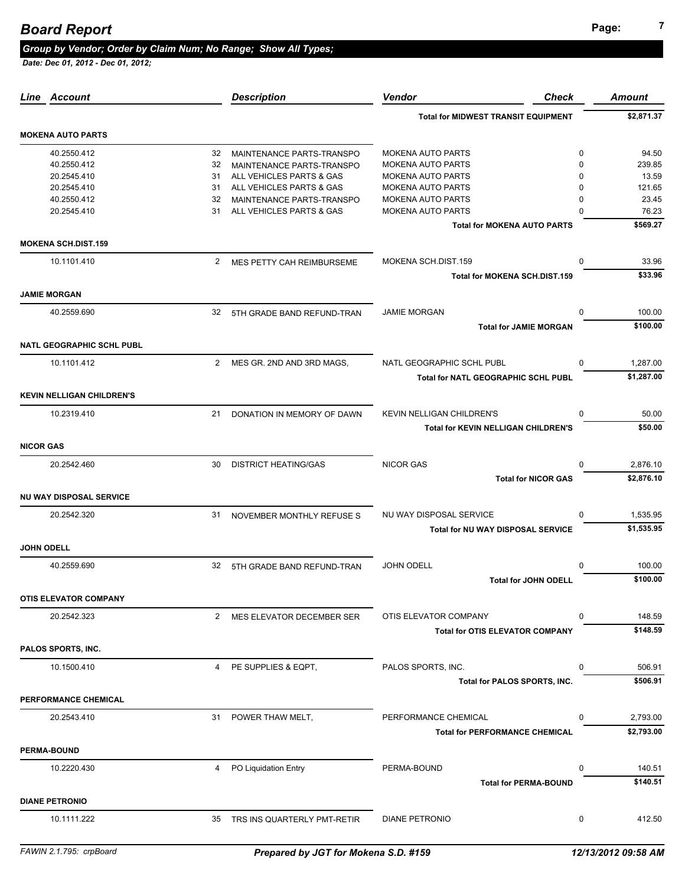# **Page: <sup>7</sup>** *Board Report*

#### *Group by Vendor; Order by Claim Num; No Range; Show All Types;*

| Account<br>Line                  |                | <b>Description</b>             | <b>Vendor</b><br>Check                           | <b>Amount</b>                     |
|----------------------------------|----------------|--------------------------------|--------------------------------------------------|-----------------------------------|
|                                  |                |                                | <b>Total for MIDWEST TRANSIT EQUIPMENT</b>       | \$2,871.37                        |
| <b>MOKENA AUTO PARTS</b>         |                |                                |                                                  |                                   |
| 40.2550.412                      | 32             | MAINTENANCE PARTS-TRANSPO      | <b>MOKENA AUTO PARTS</b>                         | $\mathbf 0$<br>94.50              |
| 40.2550.412                      | 32             | MAINTENANCE PARTS-TRANSPO      | <b>MOKENA AUTO PARTS</b>                         | $\Omega$<br>239.85                |
| 20.2545.410                      | 31             | ALL VEHICLES PARTS & GAS       | <b>MOKENA AUTO PARTS</b>                         | 13.59<br>$\Omega$                 |
|                                  |                |                                |                                                  |                                   |
| 20.2545.410                      | 31             | ALL VEHICLES PARTS & GAS       | <b>MOKENA AUTO PARTS</b>                         | $\Omega$<br>121.65                |
| 40.2550.412                      | 32             | MAINTENANCE PARTS-TRANSPO      | <b>MOKENA AUTO PARTS</b>                         | 0<br>23.45                        |
| 20.2545.410                      | 31             | ALL VEHICLES PARTS & GAS       | <b>MOKENA AUTO PARTS</b>                         | $\Omega$<br>76.23                 |
|                                  |                |                                | <b>Total for MOKENA AUTO PARTS</b>               | \$569.27                          |
| <b>MOKENA SCH.DIST.159</b>       |                |                                |                                                  |                                   |
| 10.1101.410                      | $\overline{2}$ | MES PETTY CAH REIMBURSEME      | MOKENA SCH.DIST.159                              | 33.96<br>$\mathbf 0$              |
|                                  |                |                                | <b>Total for MOKENA SCH.DIST.159</b>             | \$33.96                           |
| <b>JAMIE MORGAN</b>              |                |                                |                                                  |                                   |
| 40.2559.690                      | 32             | 5TH GRADE BAND REFUND-TRAN     | <b>JAMIE MORGAN</b>                              | 100.00<br>$\Omega$                |
|                                  |                |                                | <b>Total for JAMIE MORGAN</b>                    | \$100.00                          |
| <b>NATL GEOGRAPHIC SCHL PUBL</b> |                |                                |                                                  |                                   |
| 10.1101.412                      | $\overline{2}$ | MES GR. 2ND AND 3RD MAGS,      | NATL GEOGRAPHIC SCHL PUBL                        | 1,287.00<br>0                     |
|                                  |                |                                | Total for NATL GEOGRAPHIC SCHL PUBL              | \$1,287.00                        |
| <b>KEVIN NELLIGAN CHILDREN'S</b> |                |                                |                                                  |                                   |
| 10.2319.410                      | 21             | DONATION IN MEMORY OF DAWN     | KEVIN NELLIGAN CHILDREN'S                        | 50.00<br>$\Omega$                 |
|                                  |                |                                | <b>Total for KEVIN NELLIGAN CHILDREN'S</b>       | \$50.00                           |
| <b>NICOR GAS</b>                 |                |                                |                                                  |                                   |
| 20.2542.460                      | 30             | <b>DISTRICT HEATING/GAS</b>    | <b>NICOR GAS</b>                                 | 2,876.10<br>0                     |
|                                  |                |                                | <b>Total for NICOR GAS</b>                       | \$2,876.10                        |
| NU WAY DISPOSAL SERVICE          |                |                                |                                                  |                                   |
| 20.2542.320                      | 31             | NOVEMBER MONTHLY REFUSE S      | NU WAY DISPOSAL SERVICE                          | $\Omega$<br>1,535.95              |
|                                  |                |                                | Total for NU WAY DISPOSAL SERVICE                | \$1,535.95                        |
| <b>JOHN ODELL</b>                |                |                                |                                                  |                                   |
| 40.2559.690                      | 32             | 5TH GRADE BAND REFUND-TRAN     | <b>JOHN ODELL</b><br><b>Total for JOHN ODELL</b> | $\mathbf 0$<br>100.00<br>\$100.00 |
| <b>OTIS ELEVATOR COMPANY</b>     |                |                                |                                                  |                                   |
| 20.2542.323                      | $2^{\circ}$    | MES ELEVATOR DECEMBER SER      | OTIS ELEVATOR COMPANY                            | 148.59<br>0                       |
|                                  |                |                                | <b>Total for OTIS ELEVATOR COMPANY</b>           | \$148.59                          |
| PALOS SPORTS, INC.               |                |                                |                                                  |                                   |
| 10.1500.410                      | 4              | PE SUPPLIES & EQPT,            | PALOS SPORTS, INC.                               | 506.91<br>0                       |
|                                  |                |                                | Total for PALOS SPORTS, INC.                     | \$506.91                          |
| PERFORMANCE CHEMICAL             |                |                                |                                                  |                                   |
| 20.2543.410                      | 31             | POWER THAW MELT,               | PERFORMANCE CHEMICAL                             | 2,793.00<br>0                     |
|                                  |                |                                | <b>Total for PERFORMANCE CHEMICAL</b>            | \$2,793.00                        |
| <b>PERMA-BOUND</b>               |                |                                |                                                  |                                   |
| 10.2220.430                      | 4              | PO Liquidation Entry           | PERMA-BOUND                                      | $\mathbf{0}$<br>140.51            |
|                                  |                |                                | <b>Total for PERMA-BOUND</b>                     | \$140.51                          |
| <b>DIANE PETRONIO</b>            |                |                                |                                                  |                                   |
| 10.1111.222                      |                | 35 TRS INS QUARTERLY PMT-RETIR | <b>DIANE PETRONIO</b>                            | 0<br>412.50                       |
|                                  |                |                                |                                                  |                                   |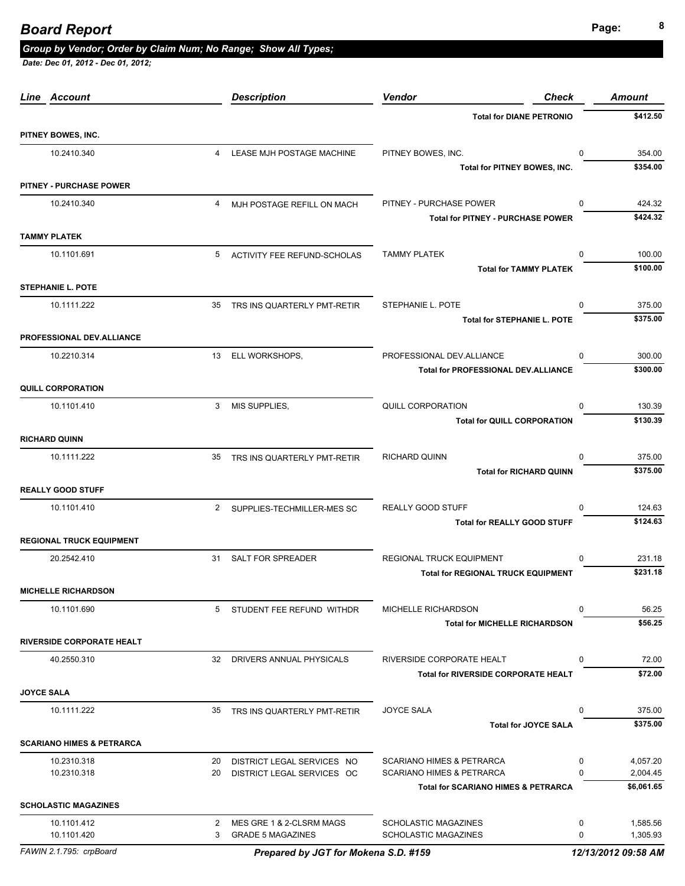# **Page: <sup>8</sup>** *Board Report*

### *Group by Vendor; Order by Claim Num; No Range; Show All Types;*

| Line Account                         |                | <b>Description</b>                                   | Vendor<br>Check                                     |                  | <b>Amount</b>        |
|--------------------------------------|----------------|------------------------------------------------------|-----------------------------------------------------|------------------|----------------------|
|                                      |                |                                                      | <b>Total for DIANE PETRONIO</b>                     |                  | \$412.50             |
| PITNEY BOWES, INC.                   |                |                                                      |                                                     |                  |                      |
| 10.2410.340                          | $\overline{4}$ | LEASE MJH POSTAGE MACHINE                            | PITNEY BOWES, INC.                                  | $\mathbf 0$      | 354.00               |
|                                      |                |                                                      | Total for PITNEY BOWES, INC.                        |                  | \$354.00             |
| <b>PITNEY - PURCHASE POWER</b>       |                |                                                      |                                                     |                  |                      |
| 10.2410.340                          | $\overline{4}$ | MJH POSTAGE REFILL ON MACH                           | PITNEY - PURCHASE POWER                             | $\Omega$         | 424.32               |
|                                      |                |                                                      | <b>Total for PITNEY - PURCHASE POWER</b>            |                  | \$424.32             |
| <b>TAMMY PLATEK</b>                  |                |                                                      |                                                     |                  |                      |
| 10.1101.691                          | 5              | ACTIVITY FEE REFUND-SCHOLAS                          | <b>TAMMY PLATEK</b>                                 | $\Omega$         | 100.00               |
|                                      |                |                                                      | <b>Total for TAMMY PLATEK</b>                       |                  | \$100.00             |
| <b>STEPHANIE L. POTE</b>             |                |                                                      |                                                     |                  |                      |
| 10.1111.222                          | 35             | TRS INS QUARTERLY PMT-RETIR                          | STEPHANIE L. POTE                                   | $\Omega$         | 375.00               |
|                                      |                |                                                      | <b>Total for STEPHANIE L. POTE</b>                  |                  | \$375.00             |
| PROFESSIONAL DEV.ALLIANCE            |                |                                                      |                                                     |                  |                      |
| 10.2210.314                          | 13             | ELL WORKSHOPS,                                       | PROFESSIONAL DEV.ALLIANCE                           | $\Omega$         | 300.00               |
|                                      |                |                                                      | <b>Total for PROFESSIONAL DEV.ALLIANCE</b>          |                  | \$300.00             |
| <b>QUILL CORPORATION</b>             |                |                                                      |                                                     |                  |                      |
| 10.1101.410                          | 3              | MIS SUPPLIES,                                        | QUILL CORPORATION                                   | $\Omega$         | 130.39               |
|                                      |                |                                                      | <b>Total for QUILL CORPORATION</b>                  |                  | \$130.39             |
| <b>RICHARD QUINN</b>                 |                |                                                      |                                                     |                  |                      |
| 10.1111.222                          | 35             | TRS INS QUARTERLY PMT-RETIR                          | RICHARD QUINN                                       | $\Omega$         | 375.00               |
|                                      |                |                                                      | <b>Total for RICHARD QUINN</b>                      |                  | \$375.00             |
| <b>REALLY GOOD STUFF</b>             |                |                                                      |                                                     |                  |                      |
| 10.1101.410                          | $\mathbf{2}$   | SUPPLIES-TECHMILLER-MES SC                           | REALLY GOOD STUFF                                   | $\Omega$         | 124.63               |
|                                      |                |                                                      | <b>Total for REALLY GOOD STUFF</b>                  |                  | \$124.63             |
| <b>REGIONAL TRUCK EQUIPMENT</b>      |                |                                                      |                                                     |                  |                      |
| 20.2542.410                          |                | 31 SALT FOR SPREADER                                 | <b>REGIONAL TRUCK EQUIPMENT</b>                     | 0                | 231.18               |
|                                      |                |                                                      | <b>Total for REGIONAL TRUCK EQUIPMENT</b>           |                  | \$231.18             |
| <b>MICHELLE RICHARDSON</b>           |                |                                                      |                                                     |                  |                      |
| 10.1101.690                          | 5              | STUDENT FEE REFUND WITHDR                            | MICHELLE RICHARDSON                                 | 0                | 56.25                |
|                                      |                |                                                      | <b>Total for MICHELLE RICHARDSON</b>                |                  | \$56.25              |
| <b>RIVERSIDE CORPORATE HEALT</b>     |                |                                                      |                                                     |                  |                      |
| 40.2550.310                          | 32             | DRIVERS ANNUAL PHYSICALS                             | RIVERSIDE CORPORATE HEALT                           | 0                | 72.00                |
|                                      |                |                                                      | <b>Total for RIVERSIDE CORPORATE HEALT</b>          |                  | \$72.00              |
| <b>JOYCE SALA</b>                    |                |                                                      |                                                     |                  |                      |
| 10.1111.222                          |                | 35 TRS INS QUARTERLY PMT-RETIR                       | <b>JOYCE SALA</b>                                   | 0                | 375.00               |
|                                      |                |                                                      | <b>Total for JOYCE SALA</b>                         |                  | \$375.00             |
| <b>SCARIANO HIMES &amp; PETRARCA</b> |                |                                                      |                                                     |                  |                      |
| 10.2310.318                          | 20             | DISTRICT LEGAL SERVICES NO                           | <b>SCARIANO HIMES &amp; PETRARCA</b>                | 0                | 4,057.20             |
| 10.2310.318                          | 20             | DISTRICT LEGAL SERVICES OC                           | <b>SCARIANO HIMES &amp; PETRARCA</b>                | 0                | 2,004.45             |
|                                      |                |                                                      | <b>Total for SCARIANO HIMES &amp; PETRARCA</b>      |                  | \$6,061.65           |
| <b>SCHOLASTIC MAGAZINES</b>          |                |                                                      |                                                     |                  |                      |
| 10.1101.412<br>10.1101.420           | 2<br>3         | MES GRE 1 & 2-CLSRM MAGS<br><b>GRADE 5 MAGAZINES</b> | <b>SCHOLASTIC MAGAZINES</b><br>SCHOLASTIC MAGAZINES | 0<br>$\mathbf 0$ | 1,585.56<br>1,305.93 |
|                                      |                |                                                      |                                                     |                  |                      |
| FAWIN 2.1.795: crpBoard              |                | Prepared by JGT for Mokena S.D. #159                 |                                                     |                  | 12/13/2012 09:58 AM  |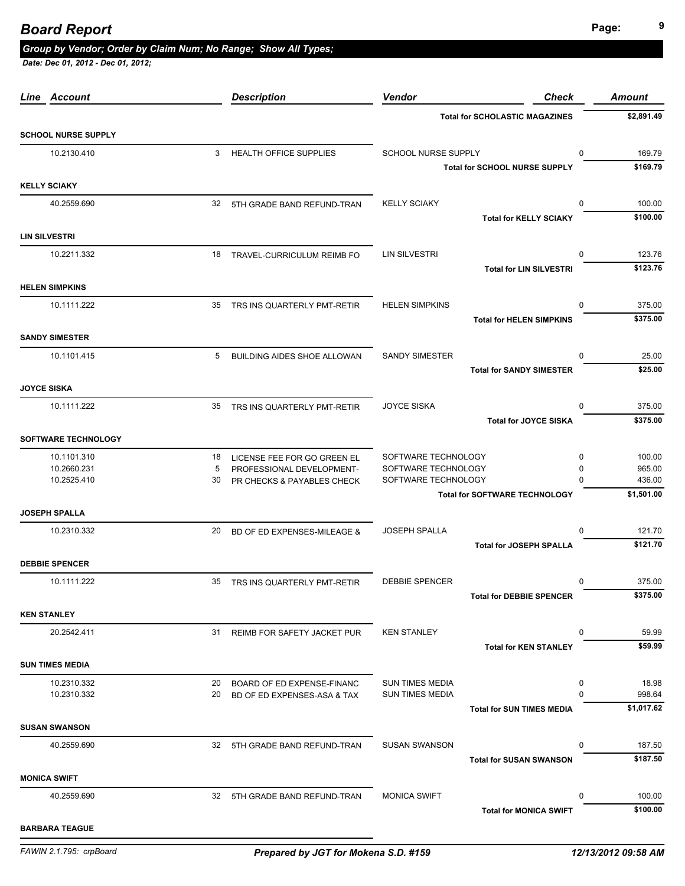| Line Account               |    | <b>Description</b>             | Vendor                 | <b>Check</b>                          | <b>Amount</b> |
|----------------------------|----|--------------------------------|------------------------|---------------------------------------|---------------|
|                            |    |                                |                        | <b>Total for SCHOLASTIC MAGAZINES</b> | \$2,891.49    |
| <b>SCHOOL NURSE SUPPLY</b> |    |                                |                        |                                       |               |
| 10.2130.410                |    | 3 HEALTH OFFICE SUPPLIES       | SCHOOL NURSE SUPPLY    | 0                                     | 169.79        |
|                            |    |                                |                        | <b>Total for SCHOOL NURSE SUPPLY</b>  | \$169.79      |
| <b>KELLY SCIAKY</b>        |    |                                |                        |                                       |               |
| 40.2559.690                |    | 32 5TH GRADE BAND REFUND-TRAN  | <b>KELLY SCIAKY</b>    | 0                                     | 100.00        |
|                            |    |                                |                        | <b>Total for KELLY SCIAKY</b>         | \$100.00      |
| <b>LIN SILVESTRI</b>       |    |                                |                        |                                       |               |
| 10.2211.332                | 18 | TRAVEL-CURRICULUM REIMB FO     | <b>LIN SILVESTRI</b>   | 0                                     | 123.76        |
|                            |    |                                |                        | <b>Total for LIN SILVESTRI</b>        | \$123.76      |
| <b>HELEN SIMPKINS</b>      |    |                                |                        |                                       |               |
| 10.1111.222                | 35 | TRS INS QUARTERLY PMT-RETIR    | <b>HELEN SIMPKINS</b>  | $\Omega$                              | 375.00        |
|                            |    |                                |                        | <b>Total for HELEN SIMPKINS</b>       | \$375.00      |
| <b>SANDY SIMESTER</b>      |    |                                |                        |                                       |               |
| 10.1101.415                | 5  | BUILDING AIDES SHOE ALLOWAN    | <b>SANDY SIMESTER</b>  | $\Omega$                              | 25.00         |
|                            |    |                                |                        | <b>Total for SANDY SIMESTER</b>       | \$25.00       |
| <b>JOYCE SISKA</b>         |    |                                |                        |                                       |               |
| 10.1111.222                |    | 35 TRS INS QUARTERLY PMT-RETIR | <b>JOYCE SISKA</b>     | 0                                     | 375.00        |
|                            |    |                                |                        | <b>Total for JOYCE SISKA</b>          | \$375.00      |
| <b>SOFTWARE TECHNOLOGY</b> |    |                                |                        |                                       |               |
| 10.1101.310                | 18 | LICENSE FEE FOR GO GREEN EL    | SOFTWARE TECHNOLOGY    | $\mathbf 0$                           | 100.00        |
| 10.2660.231                | 5  | PROFESSIONAL DEVELOPMENT-      | SOFTWARE TECHNOLOGY    | 0                                     | 965.00        |
| 10.2525.410                | 30 | PR CHECKS & PAYABLES CHECK     | SOFTWARE TECHNOLOGY    | $\Omega$                              | 436.00        |
|                            |    |                                |                        | <b>Total for SOFTWARE TECHNOLOGY</b>  | \$1,501.00    |
| <b>JOSEPH SPALLA</b>       |    |                                |                        |                                       |               |
| 10.2310.332                | 20 | BD OF ED EXPENSES-MILEAGE &    | <b>JOSEPH SPALLA</b>   | $\Omega$                              | 121.70        |
|                            |    |                                |                        | <b>Total for JOSEPH SPALLA</b>        | \$121.70      |
| <b>DEBBIE SPENCER</b>      |    |                                |                        |                                       |               |
| 10.1111.222                |    | 35 TRS INS QUARTERLY PMT-RETIR | <b>DEBBIE SPENCER</b>  | 0                                     | 375.00        |
|                            |    |                                |                        | <b>Total for DEBBIE SPENCER</b>       | \$375.00      |
| <b>KEN STANLEY</b>         |    |                                |                        |                                       |               |
| 20.2542.411                | 31 | REIMB FOR SAFETY JACKET PUR    | <b>KEN STANLEY</b>     | 0                                     | 59.99         |
|                            |    |                                |                        | <b>Total for KEN STANLEY</b>          | \$59.99       |
| <b>SUN TIMES MEDIA</b>     |    |                                |                        |                                       |               |
| 10.2310.332                | 20 | BOARD OF ED EXPENSE-FINANC     | <b>SUN TIMES MEDIA</b> | 0                                     | 18.98         |
| 10.2310.332                | 20 | BD OF ED EXPENSES-ASA & TAX    | <b>SUN TIMES MEDIA</b> | $\Omega$                              | 998.64        |
|                            |    |                                |                        | <b>Total for SUN TIMES MEDIA</b>      | \$1,017.62    |
| <b>SUSAN SWANSON</b>       |    |                                |                        |                                       |               |
| 40.2559.690                | 32 | 5TH GRADE BAND REFUND-TRAN     | <b>SUSAN SWANSON</b>   | 0                                     | 187.50        |
|                            |    |                                |                        | <b>Total for SUSAN SWANSON</b>        | \$187.50      |
| <b>MONICA SWIFT</b>        |    |                                |                        |                                       |               |
| 40.2559.690                |    | 32 5TH GRADE BAND REFUND-TRAN  | <b>MONICA SWIFT</b>    | $\Omega$                              | 100.00        |
|                            |    |                                |                        | <b>Total for MONICA SWIFT</b>         | \$100.00      |
| <b>BARBARA TEAGUE</b>      |    |                                |                        |                                       |               |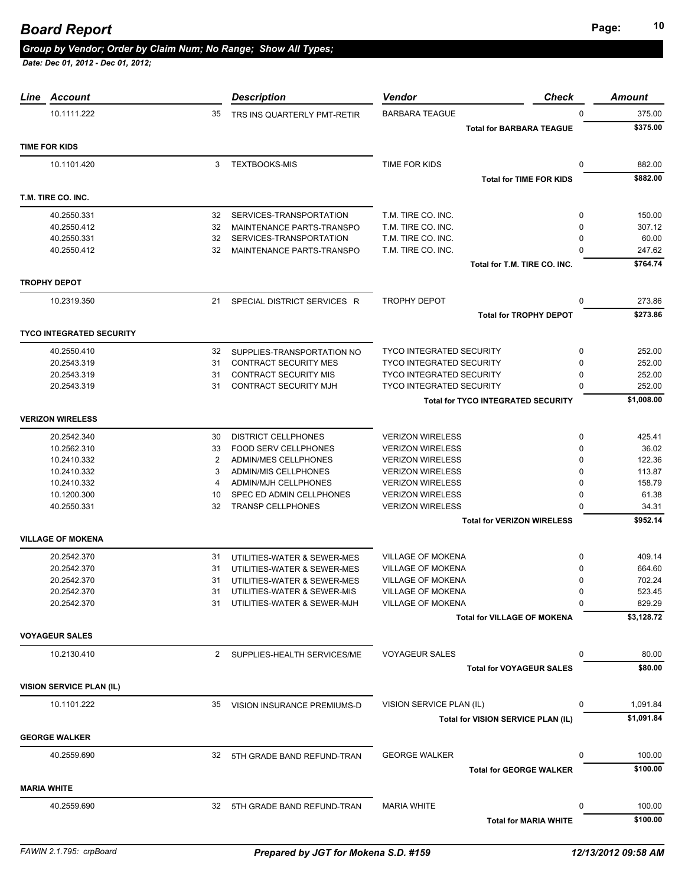| Line               | Account                         |    | <b>Description</b>                                         | <b>Vendor</b><br><b>Check</b>             |              | <b>Amount</b> |
|--------------------|---------------------------------|----|------------------------------------------------------------|-------------------------------------------|--------------|---------------|
|                    | 10.1111.222                     | 35 | TRS INS QUARTERLY PMT-RETIR                                | <b>BARBARA TEAGUE</b>                     | <sup>0</sup> | 375.00        |
|                    |                                 |    |                                                            | <b>Total for BARBARA TEAGUE</b>           |              | \$375.00      |
|                    | <b>TIME FOR KIDS</b>            |    |                                                            |                                           |              |               |
|                    | 10.1101.420                     | 3  | <b>TEXTBOOKS-MIS</b>                                       | TIME FOR KIDS                             | 0            | 882.00        |
|                    |                                 |    |                                                            | <b>Total for TIME FOR KIDS</b>            |              | \$882.00      |
|                    |                                 |    |                                                            |                                           |              |               |
|                    | T.M. TIRE CO. INC.              |    |                                                            |                                           |              |               |
|                    | 40.2550.331                     | 32 | SERVICES-TRANSPORTATION                                    | T.M. TIRE CO. INC.                        | 0            | 150.00        |
|                    | 40.2550.412                     | 32 | MAINTENANCE PARTS-TRANSPO                                  | T.M. TIRE CO. INC.                        | 0            | 307.12        |
|                    | 40.2550.331                     | 32 | SERVICES-TRANSPORTATION                                    | T.M. TIRE CO. INC.                        | $\Omega$     | 60.00         |
|                    | 40.2550.412                     | 32 | MAINTENANCE PARTS-TRANSPO                                  | T.M. TIRE CO. INC.                        |              | 247.62        |
|                    |                                 |    |                                                            | Total for T.M. TIRE CO. INC.              |              | \$764.74      |
|                    | <b>TROPHY DEPOT</b>             |    |                                                            |                                           |              |               |
|                    | 10.2319.350                     | 21 | SPECIAL DISTRICT SERVICES R                                | <b>TROPHY DEPOT</b>                       | 0            | 273.86        |
|                    |                                 |    |                                                            | <b>Total for TROPHY DEPOT</b>             |              | \$273.86      |
|                    |                                 |    |                                                            |                                           |              |               |
|                    | <b>TYCO INTEGRATED SECURITY</b> |    |                                                            |                                           |              |               |
|                    | 40.2550.410                     | 32 | SUPPLIES-TRANSPORTATION NO                                 | <b>TYCO INTEGRATED SECURITY</b>           | 0            | 252.00        |
|                    | 20.2543.319                     | 31 | <b>CONTRACT SECURITY MES</b>                               | <b>TYCO INTEGRATED SECURITY</b>           | $\Omega$     | 252.00        |
|                    | 20.2543.319                     | 31 | <b>CONTRACT SECURITY MIS</b>                               | <b>TYCO INTEGRATED SECURITY</b>           | 0            | 252.00        |
|                    | 20.2543.319                     | 31 | <b>CONTRACT SECURITY MJH</b>                               | <b>TYCO INTEGRATED SECURITY</b>           | O            | 252.00        |
|                    |                                 |    |                                                            | <b>Total for TYCO INTEGRATED SECURITY</b> |              | \$1,008.00    |
|                    | <b>VERIZON WIRELESS</b>         |    |                                                            |                                           |              |               |
|                    | 20.2542.340                     | 30 | <b>DISTRICT CELLPHONES</b>                                 | <b>VERIZON WIRELESS</b>                   | 0            | 425.41        |
|                    | 10.2562.310                     | 33 | <b>FOOD SERV CELLPHONES</b>                                | <b>VERIZON WIRELESS</b>                   | 0            | 36.02         |
|                    | 10.2410.332                     | 2  | ADMIN/MES CELLPHONES                                       | <b>VERIZON WIRELESS</b>                   | O            | 122.36        |
|                    | 10.2410.332                     | 3  | <b>ADMIN/MIS CELLPHONES</b>                                | <b>VERIZON WIRELESS</b>                   | n            | 113.87        |
|                    | 10.2410.332                     | 4  | <b>ADMIN/MJH CELLPHONES</b>                                | <b>VERIZON WIRELESS</b>                   | $\Omega$     | 158.79        |
|                    | 10.1200.300                     | 10 | SPEC ED ADMIN CELLPHONES                                   | <b>VERIZON WIRELESS</b>                   | <sup>0</sup> | 61.38         |
|                    | 40.2550.331                     | 32 | <b>TRANSP CELLPHONES</b>                                   | <b>VERIZON WIRELESS</b>                   | O            | 34.31         |
|                    |                                 |    |                                                            | <b>Total for VERIZON WIRELESS</b>         |              | \$952.14      |
|                    | <b>VILLAGE OF MOKENA</b>        |    |                                                            |                                           |              |               |
|                    | 20.2542.370                     | 31 |                                                            | <b>VILLAGE OF MOKENA</b>                  | 0            | 409.14        |
|                    | 20.2542.370                     | 31 | UTILITIES-WATER & SEWER-MES                                | <b>VILLAGE OF MOKENA</b>                  | 0            | 664.60        |
|                    | 20.2542.370                     | 31 | UTILITIES-WATER & SEWER-MES                                | <b>VILLAGE OF MOKENA</b>                  | 0            | 702.24        |
|                    | 20.2542.370                     | 31 | UTILITIES-WATER & SEWER-MES<br>UTILITIES-WATER & SEWER-MIS | <b>VILLAGE OF MOKENA</b>                  |              | 523.45        |
|                    | 20.2542.370                     | 31 | UTILITIES-WATER & SEWER-MJH                                | <b>VILLAGE OF MOKENA</b>                  | $\Omega$     | 829.29        |
|                    |                                 |    |                                                            | <b>Total for VILLAGE OF MOKENA</b>        |              | \$3,128.72    |
|                    |                                 |    |                                                            |                                           |              |               |
|                    | <b>VOYAGEUR SALES</b>           |    |                                                            |                                           |              |               |
|                    | 10.2130.410                     |    | 2 SUPPLIES-HEALTH SERVICES/ME                              | <b>VOYAGEUR SALES</b>                     | 0            | 80.00         |
|                    |                                 |    |                                                            | <b>Total for VOYAGEUR SALES</b>           |              | \$80.00       |
|                    | <b>VISION SERVICE PLAN (IL)</b> |    |                                                            |                                           |              |               |
|                    | 10.1101.222                     | 35 | VISION INSURANCE PREMIUMS-D                                | VISION SERVICE PLAN (IL)                  | 0            | 1,091.84      |
|                    |                                 |    |                                                            | Total for VISION SERVICE PLAN (IL)        |              | \$1,091.84    |
|                    |                                 |    |                                                            |                                           |              |               |
|                    | <b>GEORGE WALKER</b>            |    |                                                            |                                           |              |               |
|                    | 40.2559.690                     |    | 32 5TH GRADE BAND REFUND-TRAN                              | <b>GEORGE WALKER</b>                      | 0            | 100.00        |
|                    |                                 |    |                                                            | <b>Total for GEORGE WALKER</b>            |              | \$100.00      |
| <b>MARIA WHITE</b> |                                 |    |                                                            |                                           |              |               |
|                    | 40.2559.690                     |    | 32 5TH GRADE BAND REFUND-TRAN                              | <b>MARIA WHITE</b>                        | 0            | 100.00        |
|                    |                                 |    |                                                            | <b>Total for MARIA WHITE</b>              |              | \$100.00      |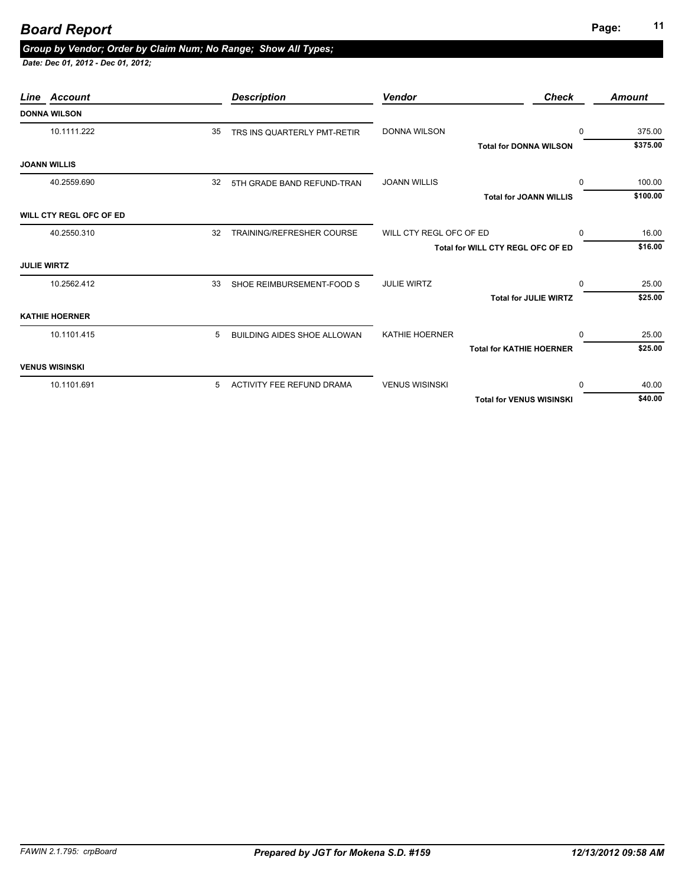# **Page: <sup>11</sup>** *Board Report*

### *Group by Vendor; Order by Claim Num; No Range; Show All Types;*

| Line Account            |    | <b>Description</b>                 | <b>Vendor</b>           | <b>Check</b>                      | <b>Amount</b> |
|-------------------------|----|------------------------------------|-------------------------|-----------------------------------|---------------|
| <b>DONNA WILSON</b>     |    |                                    |                         |                                   |               |
| 10.1111.222             | 35 | TRS INS QUARTERLY PMT-RETIR        | <b>DONNA WILSON</b>     | $\Omega$                          | 375.00        |
|                         |    |                                    |                         | <b>Total for DONNA WILSON</b>     | \$375.00      |
| <b>JOANN WILLIS</b>     |    |                                    |                         |                                   |               |
| 40.2559.690             | 32 | 5TH GRADE BAND REFUND-TRAN         | <b>JOANN WILLIS</b>     | $\Omega$                          | 100.00        |
|                         |    |                                    |                         | <b>Total for JOANN WILLIS</b>     | \$100.00      |
| WILL CTY REGL OFC OF ED |    |                                    |                         |                                   |               |
| 40.2550.310             | 32 | <b>TRAINING/REFRESHER COURSE</b>   | WILL CTY REGL OFC OF ED | $\Omega$                          | 16.00         |
|                         |    |                                    |                         | Total for WILL CTY REGL OFC OF ED | \$16.00       |
| <b>JULIE WIRTZ</b>      |    |                                    |                         |                                   |               |
| 10.2562.412             | 33 | SHOE REIMBURSEMENT-FOOD S          | <b>JULIE WIRTZ</b>      | $\Omega$                          | 25.00         |
|                         |    |                                    |                         | <b>Total for JULIE WIRTZ</b>      | \$25.00       |
| <b>KATHIE HOERNER</b>   |    |                                    |                         |                                   |               |
| 10.1101.415             | 5  | <b>BUILDING AIDES SHOE ALLOWAN</b> | KATHIE HOERNER          | $\Omega$                          | 25.00         |
|                         |    |                                    |                         | <b>Total for KATHIE HOERNER</b>   | \$25.00       |
| <b>VENUS WISINSKI</b>   |    |                                    |                         |                                   |               |
| 10.1101.691             | 5  | ACTIVITY FEE REFUND DRAMA          | <b>VENUS WISINSKI</b>   | $\Omega$                          | 40.00         |
|                         |    |                                    |                         | <b>Total for VENUS WISINSKI</b>   | \$40.00       |